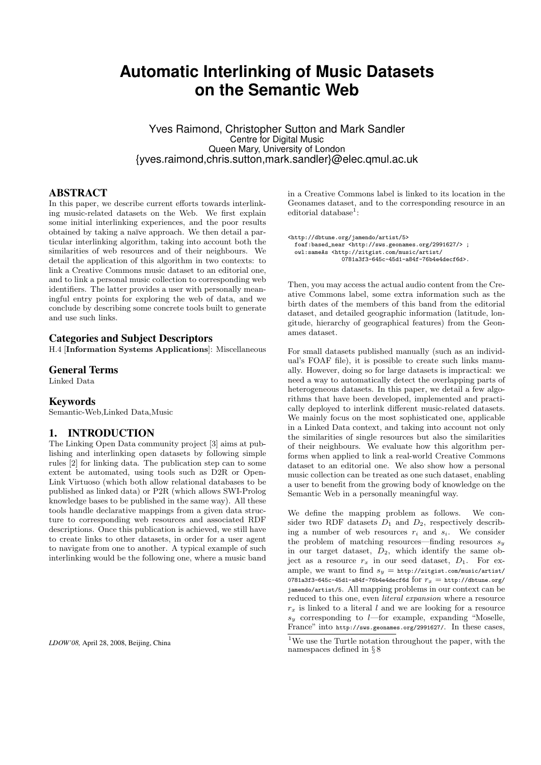# **Automatic Interlinking of Music Datasets on the Semantic Web**

Yves Raimond, Christopher Sutton and Mark Sandler Centre for Digital Music Queen Mary, University of London {yves.raimond,chris.sutton,mark.sandler}@elec.qmul.ac.uk

## ABSTRACT

In this paper, we describe current efforts towards interlinking music-related datasets on the Web. We first explain some initial interlinking experiences, and the poor results obtained by taking a na¨ıve approach. We then detail a particular interlinking algorithm, taking into account both the similarities of web resources and of their neighbours. We detail the application of this algorithm in two contexts: to link a Creative Commons music dataset to an editorial one, and to link a personal music collection to corresponding web identifiers. The latter provides a user with personally meaningful entry points for exploring the web of data, and we conclude by describing some concrete tools built to generate and use such links.

#### Categories and Subject Descriptors

H.4 [Information Systems Applications]: Miscellaneous

#### General Terms

Linked Data

#### Keywords

Semantic-Web,Linked Data,Music

#### 1. INTRODUCTION

The Linking Open Data community project [3] aims at publishing and interlinking open datasets by following simple rules [2] for linking data. The publication step can to some extent be automated, using tools such as D2R or Open-Link Virtuoso (which both allow relational databases to be published as linked data) or P2R (which allows SWI-Prolog knowledge bases to be published in the same way). All these tools handle declarative mappings from a given data structure to corresponding web resources and associated RDF descriptions. Once this publication is achieved, we still have to create links to other datasets, in order for a user agent to navigate from one to another. A typical example of such interlinking would be the following one, where a music band

*LDOW'08,* April 28, 2008, Beijing, China

in a Creative Commons label is linked to its location in the Geonames dataset, and to the corresponding resource in an  $editorial database<sup>1</sup>:$ 

```
<http://dbtune.org/jamendo/artist/5>
foaf:based_near <http://sws.geonames.org/2991627/> ;
  owl:sameAs <http://zitgist.com/music/artist/
                   0781a3f3-645c-45d1-a84f-76b4e4decf6d>.
```
Then, you may access the actual audio content from the Creative Commons label, some extra information such as the birth dates of the members of this band from the editorial dataset, and detailed geographic information (latitude, longitude, hierarchy of geographical features) from the Geonames dataset.

For small datasets published manually (such as an individual's FOAF file), it is possible to create such links manually. However, doing so for large datasets is impractical: we need a way to automatically detect the overlapping parts of heterogeneous datasets. In this paper, we detail a few algorithms that have been developed, implemented and practically deployed to interlink different music-related datasets. We mainly focus on the most sophisticated one, applicable in a Linked Data context, and taking into account not only the similarities of single resources but also the similarities of their neighbours. We evaluate how this algorithm performs when applied to link a real-world Creative Commons dataset to an editorial one. We also show how a personal music collection can be treated as one such dataset, enabling a user to benefit from the growing body of knowledge on the Semantic Web in a personally meaningful way.

We define the mapping problem as follows. We consider two RDF datasets  $D_1$  and  $D_2$ , respectively describing a number of web resources  $r_i$  and  $s_i$ . We consider the problem of matching resources—finding resources  $s_y$ in our target dataset,  $D_2$ , which identify the same object as a resource  $r_x$  in our seed dataset,  $D_1$ . For example, we want to find  $s_y = \frac{\text{http://zitgist.com/music/artist/}}{\text{http://zitgist.com/music/artist/}}$ 0781a3f3-645c-45d1-a84f-76b4e4decf6d for  $r_x = \text{http://dbtune.org/}$ jamendo/artist/5. All mapping problems in our context can be reduced to this one, even literal expansion where a resource  $r<sub>x</sub>$  is linked to a literal l and we are looking for a resource  $s_y$  corresponding to *l*—for example, expanding "Moselle, France" into http://sws.geonames.org/2991627/. In these cases,

<sup>1</sup>We use the Turtle notation throughout the paper, with the namespaces defined in § 8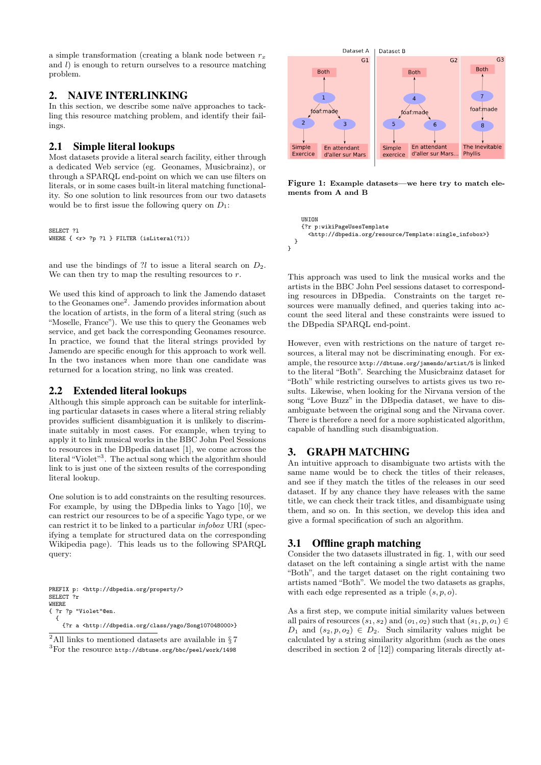a simple transformation (creating a blank node between  $r_x$ and  $l$ ) is enough to return ourselves to a resource matching problem.

# 2. NAIVE INTERLINKING

In this section, we describe some naïve approaches to tackling this resource matching problem, and identify their failings.

# 2.1 Simple literal lookups

Most datasets provide a literal search facility, either through a dedicated Web service (eg. Geonames, Musicbrainz), or through a SPARQL end-point on which we can use filters on literals, or in some cases built-in literal matching functionality. So one solution to link resources from our two datasets would be to first issue the following query on  $D_1$ :

SELECT ?1 WHERE { <r> ?p ?l } FILTER (isLiteral(?1))

and use the bindings of ?l to issue a literal search on  $D_2$ . We can then try to map the resulting resources to  $r$ .

We used this kind of approach to link the Jamendo dataset to the Geonames one<sup>2</sup>. Jamendo provides information about the location of artists, in the form of a literal string (such as "Moselle, France"). We use this to query the Geonames web service, and get back the corresponding Geonames resource. In practice, we found that the literal strings provided by Jamendo are specific enough for this approach to work well. In the two instances when more than one candidate was returned for a location string, no link was created.

# 2.2 Extended literal lookups

Although this simple approach can be suitable for interlinking particular datasets in cases where a literal string reliably provides sufficient disambiguation it is unlikely to discriminate suitably in most cases. For example, when trying to apply it to link musical works in the BBC John Peel Sessions to resources in the DBpedia dataset [1], we come across the literal "Violet"<sup>3</sup>. The actual song which the algorithm should link to is just one of the sixteen results of the corresponding literal lookup.

One solution is to add constraints on the resulting resources. For example, by using the DBpedia links to Yago [10], we can restrict our resources to be of a specific Yago type, or we can restrict it to be linked to a particular infobox URI (specifying a template for structured data on the corresponding Wikipedia page). This leads us to the following SPARQL query:

```
PREFIX p: <http://dbpedia.org/property/>
SELECT<sub>?r</sub>
WHERE<br>{ ?r ?p
         "Violet"@en.
  {
    {?r a <http://dbpedia.org/class/yago/Song107048000>}
```


Figure 1: Example datasets—we here try to match elements from A and B

```
UNTON
    {?r p:wikiPageUsesTemplate
      <http://dbpedia.org/resource/Template:single_infobox>}
  }
}
```
This approach was used to link the musical works and the artists in the BBC John Peel sessions dataset to corresponding resources in DBpedia. Constraints on the target resources were manually defined, and queries taking into account the seed literal and these constraints were issued to the DBpedia SPARQL end-point.

However, even with restrictions on the nature of target resources, a literal may not be discriminating enough. For example, the resource http://dbtune.org/jamendo/artist/5 is linked to the literal "Both". Searching the Musicbrainz dataset for "Both" while restricting ourselves to artists gives us two results. Likewise, when looking for the Nirvana version of the song "Love Buzz" in the DBpedia dataset, we have to disambiguate between the original song and the Nirvana cover. There is therefore a need for a more sophisticated algorithm, capable of handling such disambiguation.

# 3. GRAPH MATCHING

An intuitive approach to disambiguate two artists with the same name would be to check the titles of their releases, and see if they match the titles of the releases in our seed dataset. If by any chance they have releases with the same title, we can check their track titles, and disambiguate using them, and so on. In this section, we develop this idea and give a formal specification of such an algorithm.

# 3.1 Offline graph matching

Consider the two datasets illustrated in fig. 1, with our seed dataset on the left containing a single artist with the name "Both", and the target dataset on the right containing two artists named "Both". We model the two datasets as graphs, with each edge represented as a triple  $(s, p, o)$ .

As a first step, we compute initial similarity values between all pairs of resources  $(s_1, s_2)$  and  $(o_1, o_2)$  such that  $(s_1, p, o_1) \in$  $D_1$  and  $(s_2, p, o_2) \in D_2$ . Such similarity values might be calculated by a string similarity algorithm (such as the ones described in section 2 of [12]) comparing literals directly at-

 $^2 \text{All links}$  to mentioned datasets are available in  $\S\,7$ <sup>3</sup>For the resource http://dbtune.org/bbc/peel/work/1498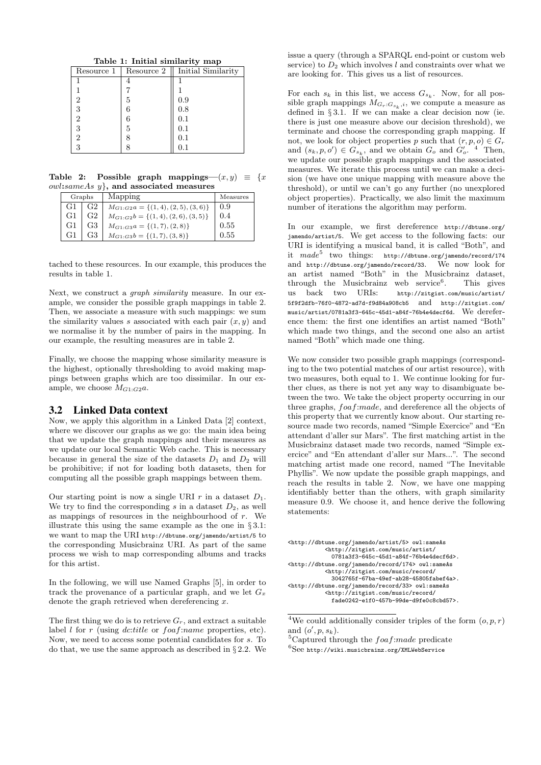Table 1: Initial similarity map

| Resource 1 | Resource 2 | Initial Similarity |
|------------|------------|--------------------|
|            |            |                    |
|            |            |                    |
| 2          | 5          | 0.9                |
| 3          |            | 0.8                |
| 2          |            | 0.1                |
| 3          | 5          | 0.1                |
| 2          |            | 0.1                |
|            |            | $\rm 0.1$          |

Table 2: Possible graph mappings— $(x, y) \equiv \{x \}$  $owl:sameAs$   $v$ , and associated measures

|    | Graphs         | Mapping                                 | Measures |
|----|----------------|-----------------------------------------|----------|
| G1 | G <sub>2</sub> | $M_{G1:G2}a = \{(1,4), (2,5), (3,6)\}\$ | 0.9      |
| G1 | G <sub>2</sub> | $M_{G1:G2}b = \{(1,4), (2,6), (3,5)\}\$ | 0.4      |
| G1 | G3             | $M_{G1:G3}a = \{(1,7), (2,8)\}\$        | 0.55     |
| G1 | G <sub>3</sub> | $M_{G1:G3}b = \{(1,7), (3,8)\}\$        | 0.55     |

tached to these resources. In our example, this produces the results in table 1.

Next, we construct a graph similarity measure. In our example, we consider the possible graph mappings in table 2. Then, we associate a measure with such mappings: we sum the similarity values s associated with each pair  $(x, y)$  and we normalise it by the number of pairs in the mapping. In our example, the resulting measures are in table 2.

Finally, we choose the mapping whose similarity measure is the highest, optionally thresholding to avoid making mappings between graphs which are too dissimilar. In our example, we choose  $M_{G1:G2}a$ .

#### 3.2 Linked Data context

Now, we apply this algorithm in a Linked Data [2] context, where we discover our graphs as we go: the main idea being that we update the graph mappings and their measures as we update our local Semantic Web cache. This is necessary because in general the size of the datasets  $D_1$  and  $D_2$  will be prohibitive; if not for loading both datasets, then for computing all the possible graph mappings between them.

Our starting point is now a single URI r in a dataset  $D_1$ . We try to find the corresponding s in a dataset  $D_2$ , as well as mappings of resources in the neighbourhood of  $r$ . We illustrate this using the same example as the one in § 3.1: we want to map the URI http://dbtune.org/jamendo/artist/5 to the corresponding Musicbrainz URI. As part of the same process we wish to map corresponding albums and tracks for this artist.

In the following, we will use Named Graphs [5], in order to track the provenance of a particular graph, and we let  $G_x$ denote the graph retrieved when dereferencing  $x$ .

The first thing we do is to retrieve  $G_r$ , and extract a suitable label  $l$  for  $r$  (using *dc:title* or  $foaf$ :*name* properties, etc). Now, we need to access some potential candidates for s. To do that, we use the same approach as described in § 2.2. We

issue a query (through a SPARQL end-point or custom web service) to  $D_2$  which involves l and constraints over what we are looking for. This gives us a list of resources.

For each  $s_k$  in this list, we access  $G_{s_k}$ . Now, for all possible graph mappings  $M_{G_r:G_{s_k},i}$ , we compute a measure as defined in § 3.1. If we can make a clear decision now (ie. there is just one measure above our decision threshold), we terminate and choose the corresponding graph mapping. If not, we look for object properties p such that  $(r, p, o) \in G_r$ and  $(s_k, p, o') \in G_{s_k}$ , and we obtain  $G_o$  and  $G'_o$ . <sup>4</sup> Then, we update our possible graph mappings and the associated measures. We iterate this process until we can make a decision (we have one unique mapping with measure above the threshold), or until we can't go any further (no unexplored object properties). Practically, we also limit the maximum number of iterations the algorithm may perform.

In our example, we first dereference http://dbtune.org/ jamendo/artist/5. We get access to the following facts: our URI is identifying a musical band, it is called "Both", and it  $made^5$  two things: http://dbtune.org/jamendo/record/174 and http://dbtune.org/jamendo/record/33. We now look for an artist named "Both" in the Musicbrainz dataset, through the Musicbrainz web service<sup>6</sup>. . This gives us back two URIs: http://zitgist.com/music/artist/ 5f9f2dfb-76f0-4872-ad7d-f9d84a908cb5 and http://zitgist.com/ music/artist/0781a3f3-645c-45d1-a84f-76b4e4decf6d. We dereference them: the first one identifies an artist named "Both" which made two things, and the second one also an artist named "Both" which made one thing.

We now consider two possible graph mappings (corresponding to the two potential matches of our artist resource), with two measures, both equal to 1. We continue looking for further clues, as there is not yet any way to disambiguate between the two. We take the object property occurring in our three graphs, foaf:made, and dereference all the objects of this property that we currently know about. Our starting resource made two records, named "Simple Exercice" and "En attendant d'aller sur Mars". The first matching artist in the Musicbrainz dataset made two records, named "Simple exercice" and "En attendant d'aller sur Mars...". The second matching artist made one record, named "The Inevitable Phyllis". We now update the possible graph mappings, and reach the results in table 2. Now, we have one mapping identifiably better than the others, with graph similarity measure 0.9. We choose it, and hence derive the following statements:

```
<http://dbtune.org/jamendo/artist/5> owl:sameAs
          <http://zitgist.com/music/artist/
             0781a3f3-645c-45d1-a84f-76b4e4decf6d>.
<http://dbtune.org/jamendo/record/174> owl:sameAs
          <http://zitgist.com/music/record/
             3042765f-67ba-49ef-ab28-45805fabef4a>.
<http://dbtune.org/jamendo/record/33> owl:sameAs
           <http://zitgist.com/music/record/
            fade0242-e1f0-457b-99de-d9fe0c8cbd57>.
```
<sup>&</sup>lt;sup>4</sup>We could additionally consider triples of the form  $(o, p, r)$ and  $(o', p, s_k)$ .

<sup>&</sup>lt;sup>5</sup>Captured through the  $foaf$ :made predicate

 ${}^{6}$ See http://wiki.musicbrainz.org/XMLWebService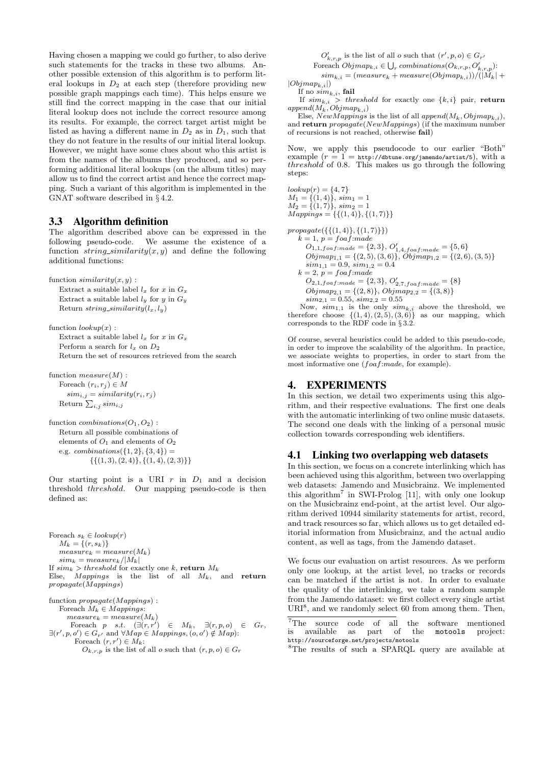Having chosen a mapping we could go further, to also derive such statements for the tracks in these two albums. Another possible extension of this algorithm is to perform literal lookups in  $D_2$  at each step (therefore providing new possible graph mappings each time). This helps ensure we still find the correct mapping in the case that our initial literal lookup does not include the correct resource among its results. For example, the correct target artist might be listed as having a different name in  $D_2$  as in  $D_1$ , such that they do not feature in the results of our initial literal lookup. However, we might have some clues about who this artist is from the names of the albums they produced, and so performing additional literal lookups (on the album titles) may allow us to find the correct artist and hence the correct mapping. Such a variant of this algorithm is implemented in the GNAT software described in § 4.2.

## 3.3 Algorithm definition

The algorithm described above can be expressed in the following pseudo-code. We assume the existence of a function  $string\_similarity(x, y)$  and define the following additional functions:

function  $similarity(x, y)$ :

Extract a suitable label  $l_x$  for x in  $G_x$ Extract a suitable label  $l_y$  for  $y$  in  $G_y$ Return string\_similarity( $l_x, l_y$ )

function  $lookup(x)$ : Extract a suitable label  $l_x$  for x in  $G_x$ Perform a search for  $l_x$  on  $D_2$ Return the set of resources retrieved from the search

function  $measure(M)$ : Foreach  $(r_i, r_j) \in M$  $sim_{i,j} = similarity(r_i, r_j)$ Return  $\sum_{i,j} sim_{i,j}$ 

function  $combinations(O_1, O_2)$ : Return all possible combinations of elements of  $O_1$  and elements of  $O_2$ e.g. *combinations* $({1, 2}, {3, 4}) =$  $\{\{(1,3), (2,4)\}, \{(1,4), (2,3)\}\}\$ 

Our starting point is a URI  $r$  in  $D_1$  and a decision threshold threshold. Our mapping pseudo-code is then defined as:

Foreach  $s_k \in lookup(r)$  $M_k = \tilde{f}(r, s_k)$  $measure_k = measure(M_k)$  $sim_k = measure_k/|M_k|$ If  $sim_k > threshold$  for exactly one k, return  $M_k$ Else,  $Mappings$  is the list of all  $M_k$ , and return propagate(Mappings)

function propagate(Mappings) : Foreach  $M_k \in Mappings$ :  $measure_k = measure(M_k)$ Foreach p s.t.  $(\exists (r, r') \in M_k, \exists (r, p, o) \in G_r,$  $\exists (r', p, o') \in G_{r'}$  and  $\forall Map \in Mappings, (o, o') \notin Map$ : Foreach  $(r, r') \in M_k$ :  $O_{k,r,p}$  is the list of all *o* such that  $(r, p, o) \in G_r$ 

 $O'_{k,r,p}$  is the list of all *o* such that  $(r', p, o) \in G_{r'}$ 

For each 
$$
Objmap_{k,i} \in \bigcup_r combinations(O_{k,r,p}, O'_{k,r,p})
$$
:

 $sim_{k,i} = (measure_k + measure(Objmap_{k,i}))/(|M_k| +$ 

 $|Objmap_{k,i}|)$ If no  $sim_{k,i}$ , fail

If  $sim_{k,i}$  > threshold for exactly one  $\{k,i\}$  pair, return  $append(M_k,Objmap_{k,i})$ Else,  $NewMappings$  is the list of all  $append(M_k,Objmap_{k,i}),$ 

and return *propagate*(NewMappings) (if the maximum number of recursions is not reached, otherwise fail)

Now, we apply this pseudocode to our earlier "Both" example  $(r = 1 = \text{http://dbtune.org/jamendo/artist/5})$ , with a  $threshold$  of 0.8. This makes us go through the following steps:

 $lookup(r) = \{4, 7\}$  $M_1 = \{(1,4)\}, \, \, \text{sim}_1 = 1$  $M_2 = \{(1, 7)\}, \, \, \text{sim}_2 = 1$  $Mappings = {\{(1,4)\},\{(1,7)\}}$ 

 $propagate({\{(1,4)\},\{(1,7)\}})$  $k = 1, p = foaf$ :made  $O_{1,1,foaf:made} = \{2,3\}, O'_{1,4,foaf:made} = \{5,6\}$  $Objmap_{1,1} = \{(2,5), (3,6)\}, \widetilde{Objmap}_{1,2} = \{(2,6), (3,5)\}$  $sim_{1,1} = 0.9, sim_{1,2} = 0.4$  $k = 2, p = f$ oaf:made  $O_{2,1,foaf:made} = \{2,3\}, O'_{2,7,foaf:made} = \{8\}$  $Objmap_{2,1} = \{(2,8)\}, Objmap_{2,2} = \{(3,8)\}$  $sim_{2,1} = 0.55, \, sim_{2,2} = 0.55$ 

Now,  $sim_{1,1}$  is the only  $sim_{k,i}$  above the threshold, we therefore choose  $\{(1,4), (2,5), (3,6)\}$  as our mapping, which corresponds to the RDF code in § 3.2.

Of course, several heuristics could be added to this pseudo-code, in order to improve the scalability of the algorithm. In practice, we associate weights to properties, in order to start from the most informative one  $(foaf:made, for example)$ .

## 4. EXPERIMENTS

In this section, we detail two experiments using this algorithm, and their respective evaluations. The first one deals with the automatic interlinking of two online music datasets. The second one deals with the linking of a personal music collection towards corresponding web identifiers.

#### 4.1 Linking two overlapping web datasets

In this section, we focus on a concrete interlinking which has been achieved using this algorithm, between two overlapping web datasets: Jamendo and Musicbrainz. We implemented this algorithm<sup>7</sup> in SWI-Prolog [11], with only one lookup on the Musicbrainz end-point, at the artist level. Our algorithm derived 10944 similarity statements for artist, record, and track resources so far, which allows us to get detailed editorial information from Musicbrainz, and the actual audio content, as well as tags, from the Jamendo dataset.

We focus our evaluation on artist resources. As we perform only one lookup, at the artist level, no tracks or records can be matched if the artist is not. In order to evaluate the quality of the interlinking, we take a random sample from the Jamendo dataset: we first collect every single artist  $\mathrm{URI}^8$ , and we randomly select 60 from among them. Then,

 $\overline{7}$ The source code of all the software mentioned is available as part of the motools project: as part of the motools project: http://sourceforge.net/projects/motools

<sup>8</sup>The results of such a SPARQL query are available at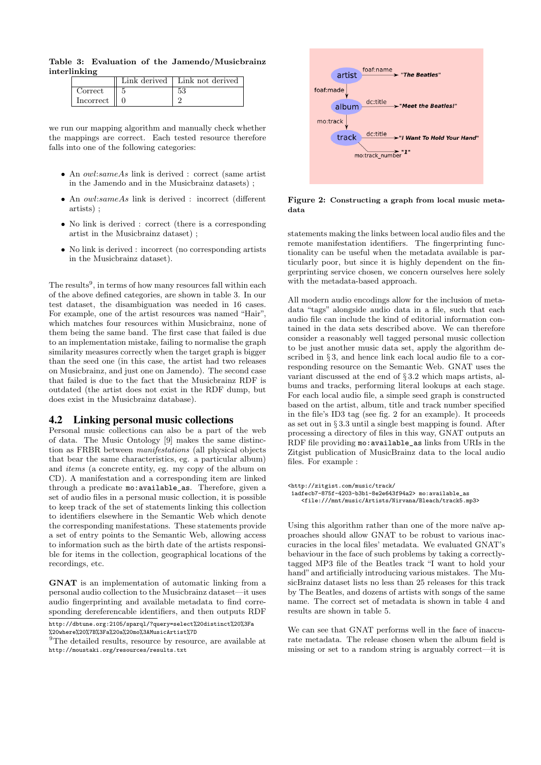|              |  |  | Table 3: Evaluation of the Jamendo/Musicbrainz |
|--------------|--|--|------------------------------------------------|
| interlinking |  |  |                                                |

|                          | Link derived $\vert$ Link not derived |
|--------------------------|---------------------------------------|
| $\operatorname{Correct}$ | 53                                    |
| Incorrect                |                                       |

we run our mapping algorithm and manually check whether the mappings are correct. Each tested resource therefore falls into one of the following categories:

- An owl:sameAs link is derived : correct (same artist in the Jamendo and in the Musicbrainz datasets) ;
- An *owl:sameAs* link is derived : incorrect (different artists) ;
- No link is derived : correct (there is a corresponding artist in the Musicbrainz dataset) ;
- No link is derived : incorrect (no corresponding artists in the Musicbrainz dataset).

The results<sup>9</sup>, in terms of how many resources fall within each of the above defined categories, are shown in table 3. In our test dataset, the disambiguation was needed in 16 cases. For example, one of the artist resources was named "Hair", which matches four resources within Musicbrainz, none of them being the same band. The first case that failed is due to an implementation mistake, failing to normalise the graph similarity measures correctly when the target graph is bigger than the seed one (in this case, the artist had two releases on Musicbrainz, and just one on Jamendo). The second case that failed is due to the fact that the Musicbrainz RDF is outdated (the artist does not exist in the RDF dump, but does exist in the Musicbrainz database).

#### 4.2 Linking personal music collections

Personal music collections can also be a part of the web of data. The Music Ontology [9] makes the same distinction as FRBR between manifestations (all physical objects that bear the same characteristics, eg. a particular album) and items (a concrete entity, eg. my copy of the album on CD). A manifestation and a corresponding item are linked through a predicate mo:available\_as. Therefore, given a set of audio files in a personal music collection, it is possible to keep track of the set of statements linking this collection to identifiers elsewhere in the Semantic Web which denote the corresponding manifestations. These statements provide a set of entry points to the Semantic Web, allowing access to information such as the birth date of the artists responsible for items in the collection, geographical locations of the recordings, etc.

GNAT is an implementation of automatic linking from a personal audio collection to the Musicbrainz dataset—it uses audio fingerprinting and available metadata to find corresponding dereferencable identifiers, and then outputs RDF



Figure 2: Constructing a graph from local music metadata

statements making the links between local audio files and the remote manifestation identifiers. The fingerprinting functionality can be useful when the metadata available is particularly poor, but since it is highly dependent on the fingerprinting service chosen, we concern ourselves here solely with the metadata-based approach.

All modern audio encodings allow for the inclusion of metadata "tags" alongside audio data in a file, such that each audio file can include the kind of editorial information contained in the data sets described above. We can therefore consider a reasonably well tagged personal music collection to be just another music data set, apply the algorithm described in § 3, and hence link each local audio file to a corresponding resource on the Semantic Web. GNAT uses the variant discussed at the end of § 3.2 which maps artists, albums and tracks, performing literal lookups at each stage. For each local audio file, a simple seed graph is constructed based on the artist, album, title and track number specified in the file's ID3 tag (see fig. 2 for an example). It proceeds as set out in § 3.3 until a single best mapping is found. After processing a directory of files in this way, GNAT outputs an RDF file providing mo:available\_as links from URIs in the Zitgist publication of MusicBrainz data to the local audio files. For example :

```
<http://zitgist.com/music/track/
```

```
1adfecb7-875f-4203-b3b1-8e2e643f94a2> mo:available_as
   <file:///mnt/music/Artists/Nirvana/Bleach/track5.mp3>
```
Using this algorithm rather than one of the more naïve approaches should allow GNAT to be robust to various inaccuracies in the local files' metadata. We evaluated GNAT's behaviour in the face of such problems by taking a correctlytagged MP3 file of the Beatles track "I want to hold your hand" and artificially introducing various mistakes. The MusicBrainz dataset lists no less than 25 releases for this track by The Beatles, and dozens of artists with songs of the same name. The correct set of metadata is shown in table 4 and results are shown in table 5.

We can see that GNAT performs well in the face of inaccurate metadata. The release chosen when the album field is missing or set to a random string is arguably correct—it is

http://dbtune.org:2105/sparql/?query=select%20distinct%20%3Fa %20where%20%7B%3Fa%20a%20mo%3AMusicArtist%7D

 $^{9}$  The detailed results, resource by resource, are available at http://moustaki.org/resources/results.txt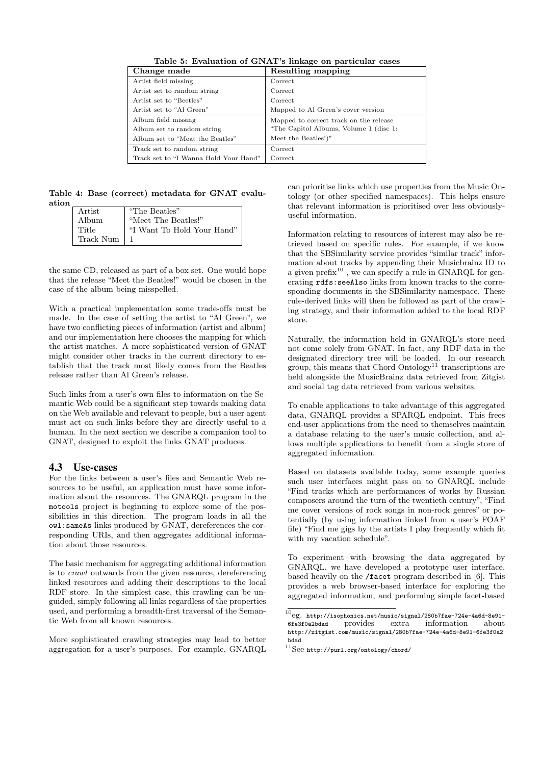| Change made                           | <b>Resulting mapping</b>               |
|---------------------------------------|----------------------------------------|
| Artist field missing                  | Correct                                |
| Artist set to random string           | Correct                                |
| Artist set to "Beetles"               | Correct                                |
| Artist set to "Al Green"              | Mapped to Al Green's cover version     |
| Album field missing                   | Mapped to correct track on the release |
| Album set to random string            | "The Capitol Albums, Volume 1 (disc 1: |
| Album set to "Meat the Beatles"       | Meet the Beatles!)"                    |
| Track set to random string            | Correct                                |
| Track set to "I Wanna Hold Your Hand" | Correct                                |

Table 5: Evaluation of GNAT's linkage on particular cases

Table 4: Base (correct) metadata for GNAT evaluation

| Artist    | "The Beatles"              |
|-----------|----------------------------|
| Album     | "Meet The Beatles!"        |
| Title     | "I Want To Hold Your Hand" |
| Track Num |                            |

the same CD, released as part of a box set. One would hope that the release "Meet the Beatles!" would be chosen in the case of the album being misspelled.

With a practical implementation some trade-offs must be made. In the case of setting the artist to "Al Green", we have two conflicting pieces of information (artist and album) and our implementation here chooses the mapping for which the artist matches. A more sophisticated version of GNAT might consider other tracks in the current directory to establish that the track most likely comes from the Beatles release rather than Al Green's release.

Such links from a user's own files to information on the Semantic Web could be a significant step towards making data on the Web available and relevant to people, but a user agent must act on such links before they are directly useful to a human. In the next section we describe a companion tool to GNAT, designed to exploit the links GNAT produces.

# 4.3 Use-cases

For the links between a user's files and Semantic Web resources to be useful, an application must have some information about the resources. The GNARQL program in the motools project is beginning to explore some of the possibilities in this direction. The program loads in all the owl:sameAs links produced by GNAT, dereferences the corresponding URIs, and then aggregates additional information about those resources.

The basic mechanism for aggregating additional information is to crawl outwards from the given resource, dereferencing linked resources and adding their descriptions to the local RDF store. In the simplest case, this crawling can be unguided, simply following all links regardless of the properties used, and performing a breadth-first traversal of the Semantic Web from all known resources.

More sophisticated crawling strategies may lead to better aggregation for a user's purposes. For example, GNARQL can prioritise links which use properties from the Music Ontology (or other specified namespaces). This helps ensure that relevant information is prioritised over less obviouslyuseful information.

Information relating to resources of interest may also be retrieved based on specific rules. For example, if we know that the SBSimilarity service provides "similar track" information about tracks by appending their Musicbrainz ID to a given prefix<sup>10</sup>, we can specify a rule in GNARQL for generating rdfs:seeAlso links from known tracks to the corresponding documents in the SBSimilarity namespace. These rule-derived links will then be followed as part of the crawling strategy, and their information added to the local RDF store.

Naturally, the information held in GNARQL's store need not come solely from GNAT. In fact, any RDF data in the designated directory tree will be loaded. In our research group, this means that Chord Ontology<sup>11</sup> transcriptions are held alongside the MusicBrainz data retrieved from Zitgist and social tag data retrieved from various websites.

To enable applications to take advantage of this aggregated data, GNARQL provides a SPARQL endpoint. This frees end-user applications from the need to themselves maintain a database relating to the user's music collection, and allows multiple applications to benefit from a single store of aggregated information.

Based on datasets available today, some example queries such user interfaces might pass on to GNARQL include "Find tracks which are performances of works by Russian composers around the turn of the twentieth century", "Find me cover versions of rock songs in non-rock genres" or potentially (by using information linked from a user's FOAF file) "Find me gigs by the artists I play frequently which fit with my vacation schedule".

To experiment with browsing the data aggregated by GNARQL, we have developed a prototype user interface, based heavily on the /facet program described in [6]. This provides a web browser-based interface for exploring the aggregated information, and performing simple facet-based

 $^{10}$ eg. http://isophonics.net/music/signal/280b7fae-724e-4a6d-8e91-6fe3f0a2bdad provides extra information about http://zitgist.com/music/signal/280b7fae-724e-4a6d-8e91-6fe3f0a2 bdad

 $^{11}{\rm{See}}$ http://purl.org/ontology/chord/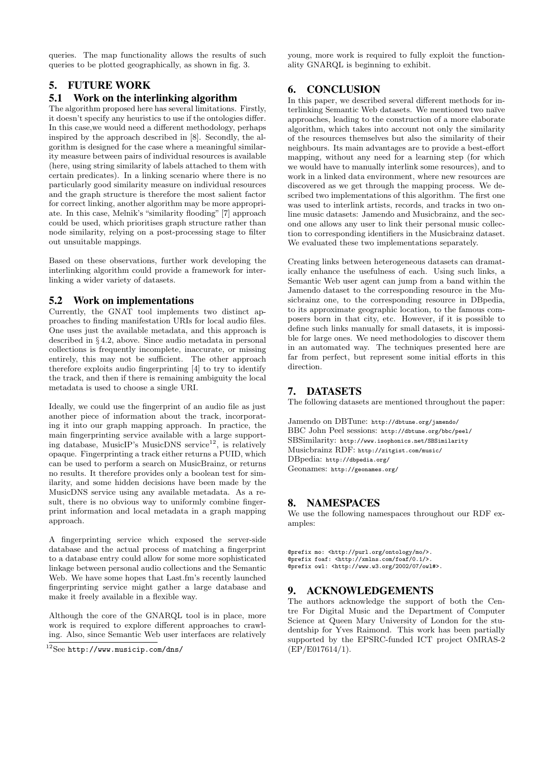queries. The map functionality allows the results of such queries to be plotted geographically, as shown in fig. 3.

# 5. FUTURE WORK

## 5.1 Work on the interlinking algorithm

The algorithm proposed here has several limitations. Firstly, it doesn't specify any heuristics to use if the ontologies differ. In this case,we would need a different methodology, perhaps inspired by the approach described in [8]. Secondly, the algorithm is designed for the case where a meaningful similarity measure between pairs of individual resources is available (here, using string similarity of labels attached to them with certain predicates). In a linking scenario where there is no particularly good similarity measure on individual resources and the graph structure is therefore the most salient factor for correct linking, another algorithm may be more appropriate. In this case, Melnik's "similarity flooding" [7] approach could be used, which prioritises graph structure rather than node similarity, relying on a post-processing stage to filter out unsuitable mappings.

Based on these observations, further work developing the interlinking algorithm could provide a framework for interlinking a wider variety of datasets.

## 5.2 Work on implementations

Currently, the GNAT tool implements two distinct approaches to finding manifestation URIs for local audio files. One uses just the available metadata, and this approach is described in § 4.2, above. Since audio metadata in personal collections is frequently incomplete, inaccurate, or missing entirely, this may not be sufficient. The other approach therefore exploits audio fingerprinting [4] to try to identify the track, and then if there is remaining ambiguity the local metadata is used to choose a single URI.

Ideally, we could use the fingerprint of an audio file as just another piece of information about the track, incorporating it into our graph mapping approach. In practice, the main fingerprinting service available with a large supporting database, MusicIP's MusicDNS service<sup>12</sup>, is relatively opaque. Fingerprinting a track either returns a PUID, which can be used to perform a search on MusicBrainz, or returns no results. It therefore provides only a boolean test for similarity, and some hidden decisions have been made by the MusicDNS service using any available metadata. As a result, there is no obvious way to uniformly combine fingerprint information and local metadata in a graph mapping approach.

A fingerprinting service which exposed the server-side database and the actual process of matching a fingerprint to a database entry could allow for some more sophisticated linkage between personal audio collections and the Semantic Web. We have some hopes that Last.fm's recently launched fingerprinting service might gather a large database and make it freely available in a flexible way.

Although the core of the GNARQL tool is in place, more work is required to explore different approaches to crawling. Also, since Semantic Web user interfaces are relatively young, more work is required to fully exploit the functionality GNARQL is beginning to exhibit.

# 6. CONCLUSION

In this paper, we described several different methods for interlinking Semantic Web datasets. We mentioned two naïve approaches, leading to the construction of a more elaborate algorithm, which takes into account not only the similarity of the resources themselves but also the similarity of their neighbours. Its main advantages are to provide a best-effort mapping, without any need for a learning step (for which we would have to manually interlink some resources), and to work in a linked data environment, where new resources are discovered as we get through the mapping process. We described two implementations of this algorithm. The first one was used to interlink artists, records, and tracks in two online music datasets: Jamendo and Musicbrainz, and the second one allows any user to link their personal music collection to corresponding identifiers in the Musicbrainz dataset. We evaluated these two implementations separately.

Creating links between heterogeneous datasets can dramatically enhance the usefulness of each. Using such links, a Semantic Web user agent can jump from a band within the Jamendo dataset to the corresponding resource in the Musicbrainz one, to the corresponding resource in DBpedia, to its approximate geographic location, to the famous composers born in that city, etc. However, if it is possible to define such links manually for small datasets, it is impossible for large ones. We need methodologies to discover them in an automated way. The techniques presented here are far from perfect, but represent some initial efforts in this direction.

# 7. DATASETS

The following datasets are mentioned throughout the paper:

Jamendo on DBTune: http://dbtune.org/jamendo/ BBC John Peel sessions: http://dbtune.org/bbc/peel/ SBSimilarity: http://www.isophonics.net/SBSimilarity Musicbrainz RDF: http://zitgist.com/music/ DBpedia: http://dbpedia.org/ Geonames: http://geonames.org/

# 8. NAMESPACES

We use the following namespaces throughout our RDF examples:

@prefix mo: <http://purl.org/ontology/mo/>. @prefix foaf: <http://xmlns.com/foaf/0.1/>. @prefix owl: <http://www.w3.org/2002/07/owl#>.

## 9. ACKNOWLEDGEMENTS

The authors acknowledge the support of both the Centre For Digital Music and the Department of Computer Science at Queen Mary University of London for the studentship for Yves Raimond. This work has been partially supported by the EPSRC-funded ICT project OMRAS-2 (EP/E017614/1).

 $^{12}$ See http://www.musicip.com/dns/